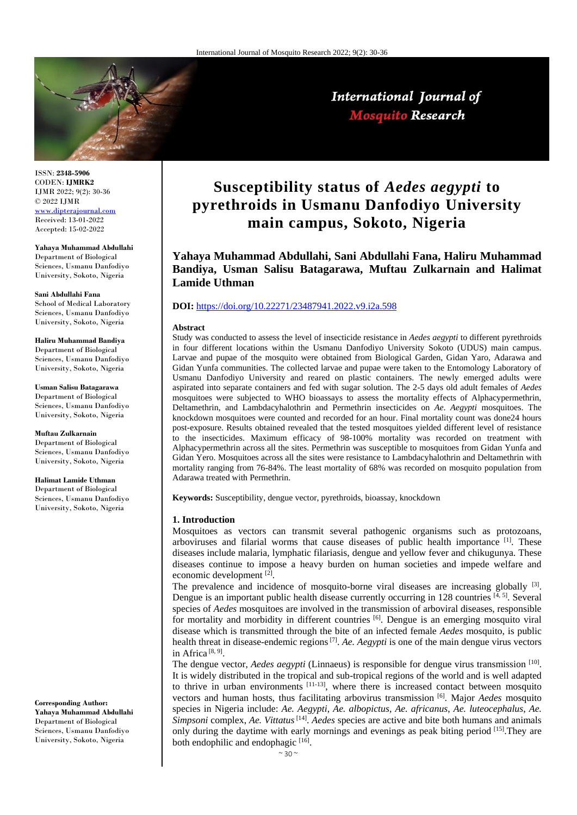

International Journal of **Mosquito Research** 

ISSN: **2348-5906** CODEN: **IJMRK2** IJMR 2022; 9(2): 30-36 © 2022 IJMR [www.dipterajournal.com](file://///server/d/Mosquito/Issue/8%20Volume/www.dipterajournal.com) Received: 13-01-2022

Accepted: 15-02-2022

**Yahaya Muhammad Abdullahi**  Department of Biological Sciences, Usmanu Danfodiyo University, Sokoto, Nigeria

**Sani Abdullahi Fana** School of Medical Laboratory Sciences, Usmanu Danfodiyo University, Sokoto, Nigeria

**Haliru Muhammad Bandiya** Department of Biological Sciences, Usmanu Danfodiyo University, Sokoto, Nigeria

**Usman Salisu Batagarawa**  Department of Biological Sciences, Usmanu Danfodiyo University, Sokoto, Nigeria

**Muftau Zulkarnain**  Department of Biological Sciences, Usmanu Danfodiyo University, Sokoto, Nigeria

**Halimat Lamide Uthman**

Department of Biological Sciences, Usmanu Danfodiyo University, Sokoto, Nigeria

**Corresponding Author: Yahaya Muhammad Abdullahi**  Department of Biological Sciences, Usmanu Danfodiyo University, Sokoto, Nigeria

# **Susceptibility status of** *Aedes aegypti* **to pyrethroids in Usmanu Danfodiyo University main campus, Sokoto, Nigeria**

**Yahaya Muhammad Abdullahi, Sani Abdullahi Fana, Haliru Muhammad Bandiya, Usman Salisu Batagarawa, Muftau Zulkarnain and Halimat Lamide Uthman**

## **DOI:** <https://doi.org/10.22271/23487941.2022.v9.i2a.598>

#### **Abstract**

Study was conducted to assess the level of insecticide resistance in *Aedes aegypti* to different pyrethroids in four different locations within the Usmanu Danfodiyo University Sokoto (UDUS) main campus. Larvae and pupae of the mosquito were obtained from Biological Garden, Gidan Yaro, Adarawa and Gidan Yunfa communities. The collected larvae and pupae were taken to the Entomology Laboratory of Usmanu Danfodiyo University and reared on plastic containers. The newly emerged adults were aspirated into separate containers and fed with sugar solution. The 2-5 days old adult females of *Aedes*  mosquitoes were subjected to WHO bioassays to assess the mortality effects of Alphacypermethrin, Deltamethrin, and Lambdacyhalothrin and Permethrin insecticides on *Ae*. *Aegypti* mosquitoes. The knockdown mosquitoes were counted and recorded for an hour. Final mortality count was done24 hours post-exposure. Results obtained revealed that the tested mosquitoes yielded different level of resistance to the insecticides. Maximum efficacy of 98-100% mortality was recorded on treatment with Alphacypermethrin across all the sites. Permethrin was susceptible to mosquitoes from Gidan Yunfa and Gidan Yero. Mosquitoes across all the sites were resistance to Lambdacyhalothrin and Deltamethrin with mortality ranging from 76-84%. The least mortality of 68% was recorded on mosquito population from Adarawa treated with Permethrin.

**Keywords:** Susceptibility, dengue vector, pyrethroids, bioassay, knockdown

#### **1. Introduction**

Mosquitoes as vectors can transmit several pathogenic organisms such as protozoans, arboviruses and filarial worms that cause diseases of public health importance  $[1]$ . These diseases include malaria, lymphatic filariasis, dengue and yellow fever and chikugunya. These diseases continue to impose a heavy burden on human societies and impede welfare and economic development [2].

The prevalence and incidence of mosquito-borne viral diseases are increasing globally  $^{[3]}$ . Dengue is an important public health disease currently occurring in 128 countries  $[4, 5]$ . Several species of *Aedes* mosquitoes are involved in the transmission of arboviral diseases, responsible for mortality and morbidity in different countries [6]. Dengue is an emerging mosquito viral disease which is transmitted through the bite of an infected female *Aedes* mosquito, is public health threat in disease-endemic regions <sup>[7]</sup>. *Ae. Aegypti* is one of the main dengue virus vectors in Africa<sup>[8, 9]</sup>.

The dengue vector, *Aedes aegypti* (Linnaeus) is responsible for dengue virus transmission [10]. It is widely distributed in the tropical and sub-tropical regions of the world and is well adapted to thrive in urban environments  $[11-13]$ , where there is increased contact between mosquito vectors and human hosts, thus facilitating arbovirus transmission [6]. Major *Aedes* mosquito species in Nigeria include: *Ae. Aegypti*, *Ae. albopictus*, *Ae. africanus*, *Ae. luteocephalus*, *Ae. Simpsoni* complex, *Ae. Vittatus*[14] . *Aedes* species are active and bite both humans and animals only during the daytime with early mornings and evenings as peak biting period [15].They are both endophilic and endophagic [16].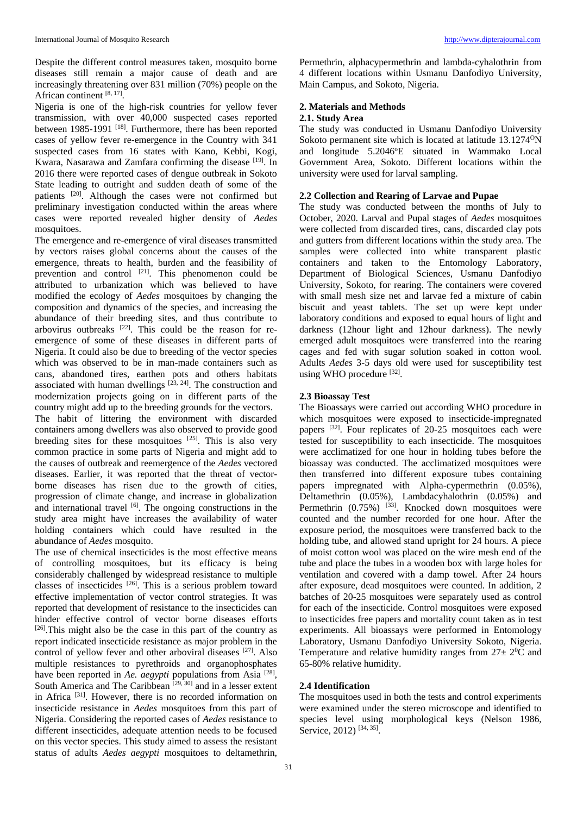Despite the different control measures taken, mosquito borne diseases still remain a major cause of death and are increasingly threatening over 831 million (70%) people on the African continent [8, 17].

Nigeria is one of the high-risk countries for yellow fever transmission, with over 40,000 suspected cases reported between 1985-1991<sup>[18]</sup>. Furthermore, there has been reported cases of yellow fever re-emergence in the Country with 341 suspected cases from 16 states with Kano, Kebbi, Kogi, Kwara, Nasarawa and Zamfara confirming the disease [19]. In 2016 there were reported cases of dengue outbreak in Sokoto State leading to outright and sudden death of some of the patients [20]. Although the cases were not confirmed but preliminary investigation conducted within the areas where cases were reported revealed higher density of *Aedes* mosquitoes.

The emergence and re-emergence of viral diseases transmitted by vectors raises global concerns about the causes of the emergence, threats to health, burden and the feasibility of prevention and control  $[21]$ . This phenomenon could be attributed to urbanization which was believed to have modified the ecology of *Aedes* mosquitoes by changing the composition and dynamics of the species, and increasing the abundance of their breeding sites, and thus contribute to arbovirus outbreaks  $[22]$ . This could be the reason for reemergence of some of these diseases in different parts of Nigeria. It could also be due to breeding of the vector species which was observed to be in man-made containers such as cans, abandoned tires, earthen pots and others habitats associated with human dwellings  $[23, 24]$ . The construction and modernization projects going on in different parts of the country might add up to the breeding grounds for the vectors. The habit of littering the environment with discarded containers among dwellers was also observed to provide good breeding sites for these mosquitoes  $^{[25]}$ . This is also very common practice in some parts of Nigeria and might add to the causes of outbreak and reemergence of the *Aedes* vectored diseases. Earlier, it was reported that the threat of vectorborne diseases has risen due to the growth of cities, progression of climate change, and increase in globalization and international travel  $[6]$ . The ongoing constructions in the study area might have increases the availability of water holding containers which could have resulted in the abundance of *Aedes* mosquito.

The use of chemical insecticides is the most effective means of controlling mosquitoes, but its efficacy is being considerably challenged by widespread resistance to multiple classes of insecticides [26]. This is a serious problem toward effective implementation of vector control strategies. It was reported that development of resistance to the insecticides can hinder effective control of vector borne diseases efforts [26]. This might also be the case in this part of the country as report indicated insecticide resistance as major problem in the control of yellow fever and other arboviral diseases [27]. Also multiple resistances to pyrethroids and organophosphates have been reported in *Ae. aegypti* populations from Asia<sup>[28]</sup>, South America and The Caribbean<sup>[29, 30]</sup> and in a lesser extent in Africa [31]. However, there is no recorded information on insecticide resistance in *Aedes* mosquitoes from this part of Nigeria. Considering the reported cases of *Aedes* resistance to different insecticides, adequate attention needs to be focused on this vector species. This study aimed to assess the resistant status of adults *Aedes aegypti* mosquitoes to deltamethrin, Permethrin, alphacypermethrin and lambda-cyhalothrin from 4 different locations within Usmanu Danfodiyo University, Main Campus, and Sokoto, Nigeria.

# **2. Materials and Methods**

# **2.1. Study Area**

The study was conducted in Usmanu Danfodiyo University Sokoto permanent site which is located at latitude 13.1274<sup>o</sup>N and longitude  $5.2046$ <sup>o</sup>E situated in Wammako Local Government Area, Sokoto. Different locations within the university were used for larval sampling.

# **2.2 Collection and Rearing of Larvae and Pupae**

The study was conducted between the months of July to October, 2020. Larval and Pupal stages of *Aedes* mosquitoes were collected from discarded tires, cans, discarded clay pots and gutters from different locations within the study area. The samples were collected into white transparent plastic containers and taken to the Entomology Laboratory, Department of Biological Sciences, Usmanu Danfodiyo University, Sokoto, for rearing. The containers were covered with small mesh size net and larvae fed a mixture of cabin biscuit and yeast tablets. The set up were kept under laboratory conditions and exposed to equal hours of light and darkness (12hour light and 12hour darkness). The newly emerged adult mosquitoes were transferred into the rearing cages and fed with sugar solution soaked in cotton wool. Adults *Aedes* 3-5 days old were used for susceptibility test using WHO procedure [32].

# **2.3 Bioassay Test**

The Bioassays were carried out according WHO procedure in which mosquitoes were exposed to insecticide-impregnated papers [32]. Four replicates of 20-25 mosquitoes each were tested for susceptibility to each insecticide. The mosquitoes were acclimatized for one hour in holding tubes before the bioassay was conducted. The acclimatized mosquitoes were then transferred into different exposure tubes containing papers impregnated with Alpha-cypermethrin (0.05%), Deltamethrin (0.05%), Lambdacyhalothrin (0.05%) and Permethrin  $(0.75\%)$  <sup>[33]</sup>. Knocked down mosquitoes were counted and the number recorded for one hour. After the exposure period, the mosquitoes were transferred back to the holding tube, and allowed stand upright for 24 hours. A piece of moist cotton wool was placed on the wire mesh end of the tube and place the tubes in a wooden box with large holes for ventilation and covered with a damp towel. After 24 hours after exposure, dead mosquitoes were counted. In addition, 2 batches of 20-25 mosquitoes were separately used as control for each of the insecticide. Control mosquitoes were exposed to insecticides free papers and mortality count taken as in test experiments. All bioassays were performed in Entomology Laboratory, Usmanu Danfodiyo University Sokoto, Nigeria. Temperature and relative humidity ranges from  $27 \pm 20^{\circ}$  and 65-80% relative humidity.

# **2.4 Identification**

The mosquitoes used in both the tests and control experiments were examined under the stereo microscope and identified to species level using morphological keys (Nelson 1986, Service, 2012)<sup>[34, 35]</sup>.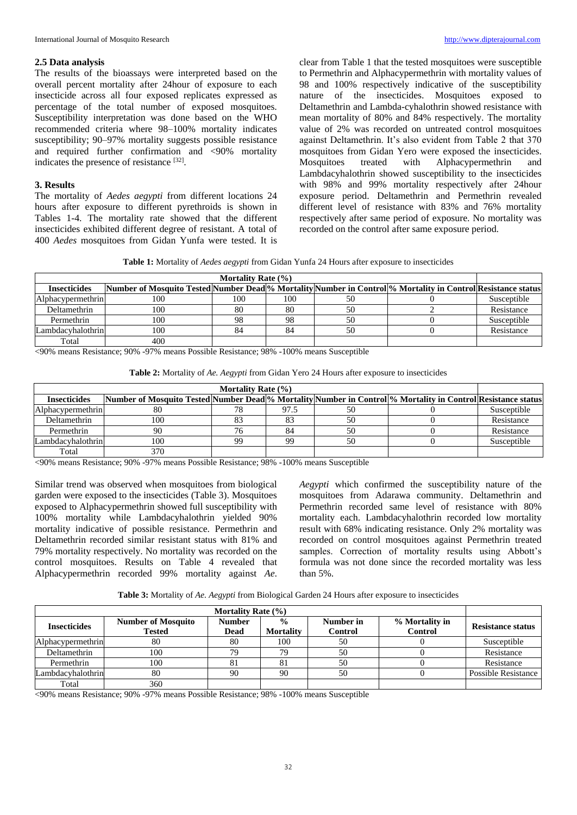### **2.5 Data analysis**

The results of the bioassays were interpreted based on the overall percent mortality after 24hour of exposure to each insecticide across all four exposed replicates expressed as percentage of the total number of exposed mosquitoes. Susceptibility interpretation was done based on the WHO recommended criteria where 98–100% mortality indicates susceptibility; 90–97% mortality suggests possible resistance and required further confirmation and <90% mortality indicates the presence of resistance [32].

# **3. Results**

The mortality of *Aedes aegypti* from different locations 24 hours after exposure to different pyrethroids is shown in Tables 1-4. The mortality rate showed that the different insecticides exhibited different degree of resistant. A total of 400 *Aedes* mosquitoes from Gidan Yunfa were tested. It is

clear from Table 1 that the tested mosquitoes were susceptible to Permethrin and Alphacypermethrin with mortality values of 98 and 100% respectively indicative of the susceptibility nature of the insecticides. Mosquitoes exposed to Deltamethrin and Lambda-cyhalothrin showed resistance with mean mortality of 80% and 84% respectively. The mortality value of 2% was recorded on untreated control mosquitoes against Deltamethrin. It's also evident from Table 2 that 370 mosquitoes from Gidan Yero were exposed the insecticides. Mosquitoes treated with Alphacypermethrin and Lambdacyhalothrin showed susceptibility to the insecticides with 98% and 99% mortality respectively after 24hour exposure period. Deltamethrin and Permethrin revealed different level of resistance with 83% and 76% mortality respectively after same period of exposure. No mortality was recorded on the control after same exposure period.

**Table 1:** Mortality of *Aedes aegypti* from Gidan Yunfa 24 Hours after exposure to insecticides

| Mortality Rate $(\% )$   |                                                                                                              |     |     |    |  |             |
|--------------------------|--------------------------------------------------------------------------------------------------------------|-----|-----|----|--|-------------|
| <b>Insecticides</b>      | Number of Mosquito Tested Number Dead % Mortality Number in Control % Mortality in Control Resistance status |     |     |    |  |             |
| <b>Alphacypermethrin</b> | 100                                                                                                          | 100 | 100 | 50 |  | Susceptible |
| Deltamethrin             | 100                                                                                                          | 80  | 80  | 50 |  | Resistance  |
| Permethrin               | 100                                                                                                          | 98  | 98  | 50 |  | Susceptible |
| Lambdacyhalothrin        | 100                                                                                                          | 84  | 84  | 50 |  | Resistance  |
| Total                    | 400                                                                                                          |     |     |    |  |             |

<90% means Resistance; 90% -97% means Possible Resistance; 98% -100% means Susceptible

| <b>Table 2:</b> Mortality of Ae. Aegypti from Gidan Yero 24 Hours after exposure to insecticides |  |  |
|--------------------------------------------------------------------------------------------------|--|--|
|--------------------------------------------------------------------------------------------------|--|--|

| Mortality Rate $(\% )$   |                                                                                                              |    |      |    |  |             |
|--------------------------|--------------------------------------------------------------------------------------------------------------|----|------|----|--|-------------|
| <b>Insecticides</b>      | Number of Mosquito Tested Number Dead % Mortality Number in Control % Mortality in Control Resistance status |    |      |    |  |             |
| <b>Alphacypermethrin</b> | 80                                                                                                           | 78 | 97.5 | 50 |  | Susceptible |
| Deltamethrin             | 100                                                                                                          |    |      | 50 |  | Resistance  |
| Permethrin               | 90                                                                                                           |    | 84   | 50 |  | Resistance  |
| Lambdacyhalothrin        | 100                                                                                                          | 99 | 99   | 50 |  | Susceptible |
| Total                    | 370                                                                                                          |    |      |    |  |             |

<90% means Resistance; 90% -97% means Possible Resistance; 98% -100% means Susceptible

Similar trend was observed when mosquitoes from biological garden were exposed to the insecticides (Table 3). Mosquitoes exposed to Alphacypermethrin showed full susceptibility with 100% mortality while Lambdacyhalothrin yielded 90% mortality indicative of possible resistance. Permethrin and Deltamethrin recorded similar resistant status with 81% and 79% mortality respectively. No mortality was recorded on the control mosquitoes. Results on Table 4 revealed that Alphacypermethrin recorded 99% mortality against *Ae*. *Aegypti* which confirmed the susceptibility nature of the mosquitoes from Adarawa community. Deltamethrin and Permethrin recorded same level of resistance with 80% mortality each. Lambdacyhalothrin recorded low mortality result with 68% indicating resistance. Only 2% mortality was recorded on control mosquitoes against Permethrin treated samples. Correction of mortality results using Abbott's formula was not done since the recorded mortality was less than 5%.

**Table 3:** Mortality of *Ae. Aegypti* from Biological Garden 24 Hours after exposure to insecticides

| Mortality Rate $(\% )$ |                                            |                       |                                   |                      |                                  |                          |
|------------------------|--------------------------------------------|-----------------------|-----------------------------------|----------------------|----------------------------------|--------------------------|
| <b>Insecticides</b>    | <b>Number of Mosquito</b><br><b>Tested</b> | <b>Number</b><br>Dead | $\frac{0}{0}$<br><b>Mortality</b> | Number in<br>Control | % Mortality in<br><b>Control</b> | <b>Resistance status</b> |
| Alphacypermethrin      | 80                                         | 80                    | 100                               | 50                   |                                  | Susceptible              |
| Deltamethrin           | 100                                        | 79                    | 70                                | 50                   |                                  | Resistance               |
| Permethrin             | 100                                        |                       | 81                                | 50                   |                                  | Resistance               |
| Lambdacyhalothrin      | 80                                         | 90                    | 90                                | 50                   |                                  | Possible Resistance      |
| Total                  | 360                                        |                       |                                   |                      |                                  |                          |

<90% means Resistance; 90% -97% means Possible Resistance; 98% -100% means Susceptible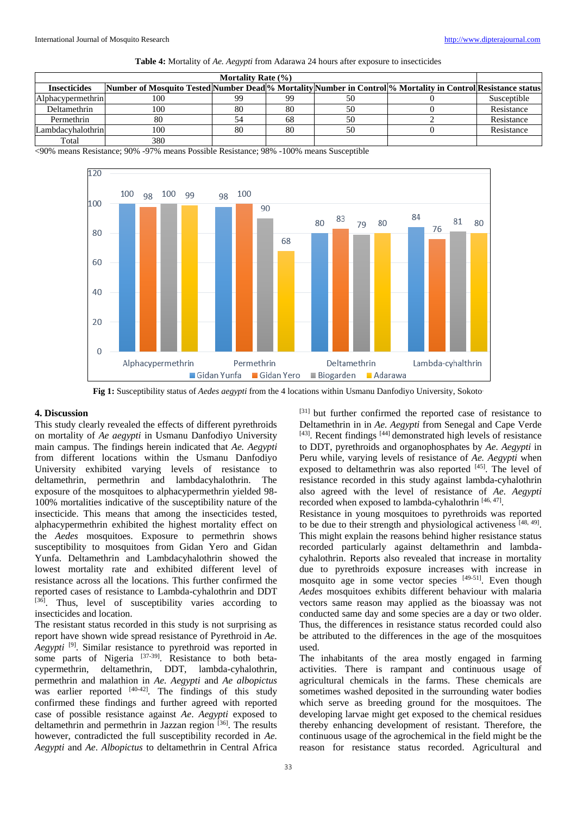| Mortality Rate $(\% )$ |                                                                                                              |    |    |    |  |             |
|------------------------|--------------------------------------------------------------------------------------------------------------|----|----|----|--|-------------|
| <b>Insecticides</b>    | Number of Mosquito Tested Number Dead % Mortality Number in Control % Mortality in Control Resistance status |    |    |    |  |             |
| Alphacypermethrin      | 100                                                                                                          | 99 | 99 | 50 |  | Susceptible |
| Deltamethrin           | 100                                                                                                          | 80 | 80 | 50 |  | Resistance  |
| Permethrin             | 80                                                                                                           |    | 68 | 50 |  | Resistance  |
| Lambdacyhalothrin      | 100                                                                                                          | 80 | 80 | 50 |  | Resistance  |
| Total                  | 380                                                                                                          |    |    |    |  |             |

<90% means Resistance; 90% -97% means Possible Resistance; 98% -100% means Susceptible



**Fig 1:** Susceptibility status of *Aedes aegypti* from the 4 locations within Usmanu Danfodiyo University, Sokoto.

## **4. Discussion**

This study clearly revealed the effects of different pyrethroids on mortality of *Ae aegypti* in Usmanu Danfodiyo University main campus. The findings herein indicated that *Ae. Aegypti* from different locations within the Usmanu Danfodiyo University exhibited varying levels of resistance to deltamethrin, permethrin and lambdacyhalothrin. The exposure of the mosquitoes to alphacypermethrin yielded 98- 100% mortalities indicative of the susceptibility nature of the insecticide. This means that among the insecticides tested, alphacypermethrin exhibited the highest mortality effect on the *Aedes* mosquitoes. Exposure to permethrin shows susceptibility to mosquitoes from Gidan Yero and Gidan Yunfa. Deltamethrin and Lambdacyhalothrin showed the lowest mortality rate and exhibited different level of resistance across all the locations. This further confirmed the reported cases of resistance to Lambda-cyhalothrin and DDT [36]. Thus, level of susceptibility varies according to insecticides and location.

The resistant status recorded in this study is not surprising as report have shown wide spread resistance of Pyrethroid in *Ae. Aegypti* [9]. Similar resistance to pyrethroid was reported in some parts of Nigeria [37-39]. Resistance to both betacypermethrin, deltamethrin, DDT, lambda-cyhalothrin, permethrin and malathion in *Ae. Aegypti* and *Ae albopictus* was earlier reported <sup>[40-42]</sup>. The findings of this study confirmed these findings and further agreed with reported case of possible resistance against *Ae*. *Aegypti* exposed to deltamethrin and permethrin in Jazzan region [36]. The results however, contradicted the full susceptibility recorded in *Ae. Aegypti* and *Ae*. *Albopictus* to deltamethrin in Central Africa

[31] but further confirmed the reported case of resistance to Deltamethrin in in *Ae. Aegypti* from Senegal and Cape Verde [43]. Recent findings [44] demonstrated high levels of resistance to DDT, pyrethroids and organophosphates by *Ae. Aegypti* in Peru while, varying levels of resistance of *Ae. Aegypti* when exposed to deltamethrin was also reported [45]. The level of resistance recorded in this study against lambda-cyhalothrin also agreed with the level of resistance of *Ae*. *Aegypti*  recorded when exposed to lambda-cyhalothrin  $[46, 47]$ .

Resistance in young mosquitoes to pyrethroids was reported to be due to their strength and physiological activeness [48, 49]. This might explain the reasons behind higher resistance status recorded particularly against deltamethrin and lambdacyhalothrin. Reports also revealed that increase in mortality due to pyrethroids exposure increases with increase in mosquito age in some vector species [49-51]. Even though *Aedes* mosquitoes exhibits different behaviour with malaria vectors same reason may applied as the bioassay was not conducted same day and some species are a day or two older. Thus, the differences in resistance status recorded could also be attributed to the differences in the age of the mosquitoes used.

The inhabitants of the area mostly engaged in farming activities. There is rampant and continuous usage of agricultural chemicals in the farms. These chemicals are sometimes washed deposited in the surrounding water bodies which serve as breeding ground for the mosquitoes. The developing larvae might get exposed to the chemical residues thereby enhancing development of resistant. Therefore, the continuous usage of the agrochemical in the field might be the reason for resistance status recorded. Agricultural and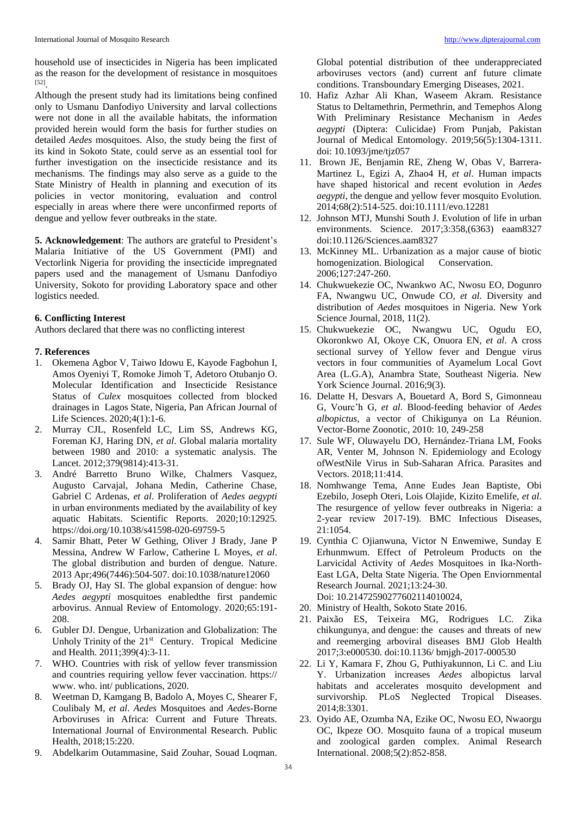household use of insecticides in Nigeria has been implicated as the reason for the development of resistance in mosquitoes [52] .

Although the present study had its limitations being confined only to Usmanu Danfodiyo University and larval collections were not done in all the available habitats, the information provided herein would form the basis for further studies on detailed *Aedes* mosquitoes. Also, the study being the first of its kind in Sokoto State, could serve as an essential tool for further investigation on the insecticide resistance and its mechanisms. The findings may also serve as a guide to the State Ministry of Health in planning and execution of its policies in vector monitoring, evaluation and control especially in areas where there were unconfirmed reports of dengue and yellow fever outbreaks in the state.

**5. Acknowledgement**: The authors are grateful to President's Malaria Initiative of the US Government (PMI) and Vectorlink Nigeria for providing the insecticide impregnated papers used and the management of Usmanu Danfodiyo University, Sokoto for providing Laboratory space and other logistics needed.

### **6. Conflicting Interest**

Authors declared that there was no conflicting interest

#### **7. References**

- 1. Okemena Agbor V, Taiwo Idowu E, Kayode Fagbohun I, Amos Oyeniyi T, Romoke Jimoh T, Adetoro Otubanjo O. Molecular Identification and Insecticide Resistance Status of *Culex* mosquitoes collected from blocked drainages in Lagos State, Nigeria, Pan African Journal of Life Sciences. 2020;4(1):1-6.
- 2. Murray CJL, Rosenfeld LC, Lim SS, Andrews KG, Foreman KJ, Haring DN, *et al*. Global malaria mortality between 1980 and 2010: a systematic analysis. The Lancet. 2012;379(9814):413-31.
- 3. André Barretto Bruno Wilke, Chalmers Vasquez, Augusto Carvajal, Johana Medin, Catherine Chase, Gabriel C Ardenas, *et al*. Proliferation of *Aedes aegypti*  in urban environments mediated by the availability of key aquatic Habitats. Scientific Reports. 2020;10:12925. https://doi.org/10.1038/s41598-020-69759-5
- 4. Samir Bhatt, Peter W Gething, Oliver J Brady, Jane P Messina, Andrew W Farlow, Catherine L Moyes, *et al*. The global distribution and burden of dengue. Nature. 2013 Apr;496(7446):504-507. doi:10.1038/nature12060
- 5. Brady OJ, Hay SI. The global expansion of dengue: how *Aedes aegypti* mosquitoes enabledthe first pandemic arbovirus. Annual Review of Entomology. 2020;65:191- 208.
- 6. Gubler DJ. Dengue, Urbanization and Globalization: The Unholy Trinity of the 21<sup>st</sup> Century. Tropical Medicine and Health. 2011;399(4):3-11.
- 7. WHO. Countries with risk of yellow fever transmission and countries requiring yellow fever vaccination. https:// www. who. int/ publications, 2020.
- 8. Weetman D, Kamgang B, Badolo A, Moyes C, Shearer F, Coulibaly M, *et al*. *Aedes* Mosquitoes and *Aedes*-Borne Arboviruses in Africa: Current and Future Threats. International Journal of Environmental Research. Public Health, 2018;15:220.
- 9. Abdelkarim Outammasine, Said Zouhar, Souad Loqman.

Global potential distribution of thee underappreciated arboviruses vectors (and) current anf future climate conditions. Transboundary Emerging Diseases, 2021.

- 10. Hafiz Azhar Ali Khan, Waseem Akram. Resistance Status to Deltamethrin, Permethrin, and Temephos Along With Preliminary Resistance Mechanism in *Aedes aegypti* (Diptera: Culicidae) From Punjab, Pakistan Journal of Medical Entomology. 2019;56(5):1304-1311. doi: 10.1093/jme/tjz057
- 11. Brown JE, Benjamin RE, Zheng W, Obas V, Barrera-Martinez L, Egizi A, Zhao4 H, *et al*. Human impacts have shaped historical and recent evolution in *Aedes aegypti*, the dengue and yellow fever mosquito Evolution*.* 2014;68(2):514-525. doi:10.1111/evo.12281
- 12. Johnson MTJ, Munshi South J. Evolution of life in urban environments. Science. 2017;3:358,(6363) eaam8327 doi:10.1126/Sciences.aam8327
- 13. McKinney ML. Urbanization as a major cause of biotic homogenization. Biological Conservation. 2006;127:247-260.
- 14. Chukwuekezie OC, Nwankwo AC, Nwosu EO, Dogunro FA, Nwangwu UC, Onwude CO, *et al*. Diversity and distribution of *Aedes* mosquitoes in Nigeria. New York Science Journal, 2018, 11(2).
- 15. Chukwuekezie OC, Nwangwu UC, Ogudu EO, Okoronkwo AI, Okoye CK, Onuora EN, *et al*. A cross sectional survey of Yellow fever and Dengue virus vectors in four communities of Ayamelum Local Govt Area (L.G.A), Anambra State, Southeast Nigeria. New York Science Journal. 2016;9(3).
- 16. Delatte H, Desvars A, Bouetard A, Bord S, Gimonneau G, Vourc'h G, *et al*. Blood-feeding behavior of *Aedes albopictus*, a vector of Chikigunya on La Réunion. Vector-Borne Zoonotic, 2010: 10, 249-258
- 17. Sule WF, Oluwayelu DO, Hernández-Triana LM, Fooks AR, Venter M, Johnson N. Epidemiology and Ecology ofWestNile Virus in Sub-Saharan Africa. Parasites and Vectors. 2018;11:414.
- 18. Nomhwange Tema, Anne Eudes Jean Baptiste, Obi Ezebilo, Joseph Oteri, Lois Olajide, Kizito Emelife, *et al*. The resurgence of yellow fever outbreaks in Nigeria: a 2‑year review 2017-19)*.* BMC Infectious Diseases, 21:1054.
- 19. Cynthia C Ojianwuna, Victor N Enwemiwe, Sunday E Erhunmwum. Effect of Petroleum Products on the Larvicidal Activity of *Aedes* Mosquitoes in Ika-North-East LGA, Delta State Nigeria. The Open Enviornmental Research Journal. 2021;13:24-30. Doi: 10.21472590277602114010024,
- 20. Ministry of Health, Sokoto State 2016.
- 21. Paixão ES, Teixeira MG, Rodrigues LC. Zika chikungunya, and dengue: the causes and threats of new and reemerging arboviral diseases BMJ Glob Health 2017;3:e000530. doi:10.1136/ bmjgh-2017-000530
- 22. Li Y, Kamara F, Zhou G, Puthiyakunnon, Li C. and Liu Y. Urbanization increases *Aedes* albopictus larval habitats and accelerates mosquito development and survivorship. PLoS Neglected Tropical Diseases. 2014;8:3301.
- 23. Oyido AE, Ozumba NA, Ezike OC, Nwosu EO, Nwaorgu OC, Ikpeze OO. Mosquito fauna of a tropical museum and zoological garden complex. Animal Research International. 2008;5(2):852-858.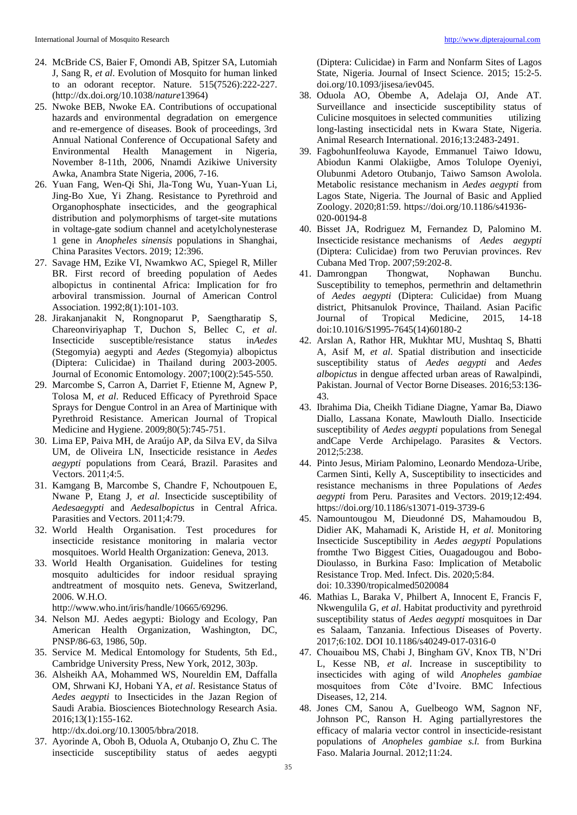- 24. McBride CS, Baier F, Omondi AB, Spitzer SA, Lutomiah J, Sang R, *et al*. Evolution of Mosquito for human linked to an odorant receptor. Nature. 515(7526):222-227. (http://dx.doi.org/10.1038/*nature*13964)
- 25. Nwoke BEB, Nwoke EA. Contributions of occupational hazards and environmental degradation on emergence and re-emergence of diseases. Book of proceedings, 3rd Annual National Conference of Occupational Safety and Environmental Health Management in Nigeria, November 8-11th, 2006, Nnamdi Azikiwe University Awka, Anambra State Nigeria, 2006, 7-16.
- 26. Yuan Fang, Wen-Qi Shi, Jla-Tong Wu, Yuan-Yuan Li, Jing-Bo Xue, Yi Zhang. Resistance to Pyrethroid and Organophosphate insecticides, and the geographical distribution and polymorphisms of target-site mutations in voltage-gate sodium channel and acetylcholynesterase 1 gene in *Anopheles sinensis* populations in Shanghai, China Parasites Vectors. 2019; 12:396.
- 27. Savage HM, Ezike VI, Nwamkwo AC, Spiegel R, Miller BR. First record of breeding population of Aedes albopictus in continental Africa: Implication for fro arboviral transmission. Journal of American Control Association. 1992;8(1):101-103.
- 28. Jirakanjanakit N, Rongnoparut P, Saengtharatip S, Chareonviriyaphap T, Duchon S, Bellec C, *et al*. Insecticide susceptible/resistance status in*Aedes* (Stegomyia) aegypti and *Aedes* (Stegomyia) albopictus (Diptera: Culicidae) in Thailand during 2003-2005. Journal of Economic Entomology. 2007;100(2):545-550.
- 29. Marcombe S, Carron A, Darriet F, Etienne M, Agnew P, Tolosa M, *et al*. Reduced Efficacy of Pyrethroid Space Sprays for Dengue Control in an Area of Martinique with Pyrethroid Resistance. American Journal of Tropical Medicine and Hygiene. 2009;80(5):745-751.
- 30. Lima EP, Paiva MH, de Araújo AP, da Silva EV, da Silva UM, de Oliveira LN, Insecticide resistance in *Aedes aegypti* populations from Ceará, Brazil. Parasites and Vectors. 2011;4:5.
- 31. Kamgang B, Marcombe S, Chandre F, Nchoutpouen E, Nwane P, Etang J, *et al*. Insecticide susceptibility of *Aedesaegypti* and *Aedesalbopictus* in Central Africa. Parasities and Vectors. 2011;4:79.
- 32. World Health Organisation. Test procedures for insecticide resistance monitoring in malaria vector mosquitoes. World Health Organization: Geneva, 2013.
- 33. World Health Organisation. Guidelines for testing mosquito adulticides for indoor residual spraying andtreatment of mosquito nets. Geneva, Switzerland, 2006. W.H.O.

http://www.who.int/iris/handle/10665/69296.

- 34. Nelson MJ. Aedes aegypti*:* Biology and Ecology, Pan American Health Organization, Washington, DC, PNSP/86-63, 1986, 50p.
- 35. Service M. Medical Entomology for Students, 5th Ed., Cambridge University Press, New York, 2012, 303p.
- 36. Alsheikh AA, Mohammed WS, Noureldin EM, Daffalla OM, Shrwani KJ, Hobani YA, *et al*. Resistance Status of *Aedes aegypti* to Insecticides in the Jazan Region of Saudi Arabia. Biosciences Biotechnology Research Asia. 2016;13(1):155-162.

http://dx.doi.org/10.13005/bbra/2018.

37. Ayorinde A, Oboh B, Oduola A, Otubanjo O, Zhu C. The insecticide susceptibility status of aedes aegypti

(Diptera: Culicidae) in Farm and Nonfarm Sites of Lagos State, Nigeria. Journal of Insect Science. 2015; 15:2-5. doi.org/10.1093/jisesa/iev045.

- 38. Oduola AO, Obembe A, Adelaja OJ, Ande AT. Surveillance and insecticide susceptibility status of Culicine mosquitoes in selected communities utilizing long-lasting insecticidal nets in Kwara State, Nigeria. Animal Research International. 2016;13:2483-2491.
- 39. FagbohunIfeoluwa Kayode, Emmanuel Taiwo Idowu, Abiodun Kanmi Olakiigbe, Amos Tolulope Oyeniyi, Olubunmi Adetoro Otubanjo, Taiwo Samson Awolola. Metabolic resistance mechanism in *Aedes aegypti* from Lagos State, Nigeria. The Journal of Basic and Applied Zoology. 2020;81:59. https://doi.org/10.1186/s41936- 020-00194-8
- 40. Bisset JA, Rodriguez M, Fernandez D, Palomino M. Insecticide resistance mechanisms of *Aedes aegypti*  (Diptera: Culicidae) from two Peruvian provinces. Rev Cubana Med Trop. 2007;59:202-8.
- 41. Damrongpan Thongwat, Nophawan Bunchu. Susceptibility to temephos, permethrin and deltamethrin of *Aedes aegypti* (Diptera: Culicidae) from Muang district, Phitsanulok Province, Thailand. Asian Pacific Journal of Tropical Medicine, 2015, 14-18 doi:10.1016/S1995-7645(14)60180-2
- 42. Arslan A, Rathor HR, Mukhtar MU, Mushtaq S, Bhatti A, Asif M, *et al*. Spatial distribution and insecticide susceptibility status of *Aedes aegypti* and *Aedes albopictus* in dengue affected urban areas of Rawalpindi, Pakistan. Journal of Vector Borne Diseases. 2016;53:136- 43.
- 43. Ibrahima Dia, Cheikh Tidiane Diagne, Yamar Ba, Diawo Diallo, Lassana Konate, Mawlouth Diallo. Insecticide susceptibility of *Aedes aegypti* populations from Senegal andCape Verde Archipelago. Parasites & Vectors. 2012;5:238.
- 44. Pinto Jesus, Miriam Palomino, Leonardo Mendoza‑Uribe, Carmen Sinti, Kelly A, Susceptibility to insecticides and resistance mechanisms in three Populations of *Aedes aegypti* from Peru. Parasites and Vectors. 2019;12:494. https://doi.org/10.1186/s13071-019-3739-6
- 45. Namountougou M, Dieudonné DS, Mahamoudou B, Didier AK, Mahamadi K, Aristide H, *et al*. Monitoring Insecticide Susceptibility in *Aedes aegypti* Populations fromthe Two Biggest Cities, Ouagadougou and Bobo-Dioulasso, in Burkina Faso: Implication of Metabolic Resistance Trop. Med. Infect. Dis. 2020;5:84. doi: 10.3390/tropicalmed5020084
- 46. Mathias L, Baraka V, Philbert A, Innocent E, Francis F, Nkwengulila G, *et al*. Habitat productivity and pyrethroid susceptibility status of *Aedes aegypti* mosquitoes in Dar es Salaam, Tanzania. Infectious Diseases of Poverty. 2017;6:102. DOI 10.1186/s40249-017-0316-0
- 47. Chouaibou MS, Chabi J, Bingham GV, Knox TB, N'Dri L, Kesse NB, *et al*. Increase in susceptibility to insecticides with aging of wild *Anopheles gambiae*  mosquitoes from Côte d'Ivoire. BMC Infectious Diseases, 12, 214.
- 48. Jones CM, Sanou A, Guelbeogo WM, Sagnon NF, Johnson PC, Ranson H. Aging partiallyrestores the efficacy of malaria vector control in insecticide-resistant populations of *Anopheles gambiae s.l.* from Burkina Faso. Malaria Journal. 2012;11:24.